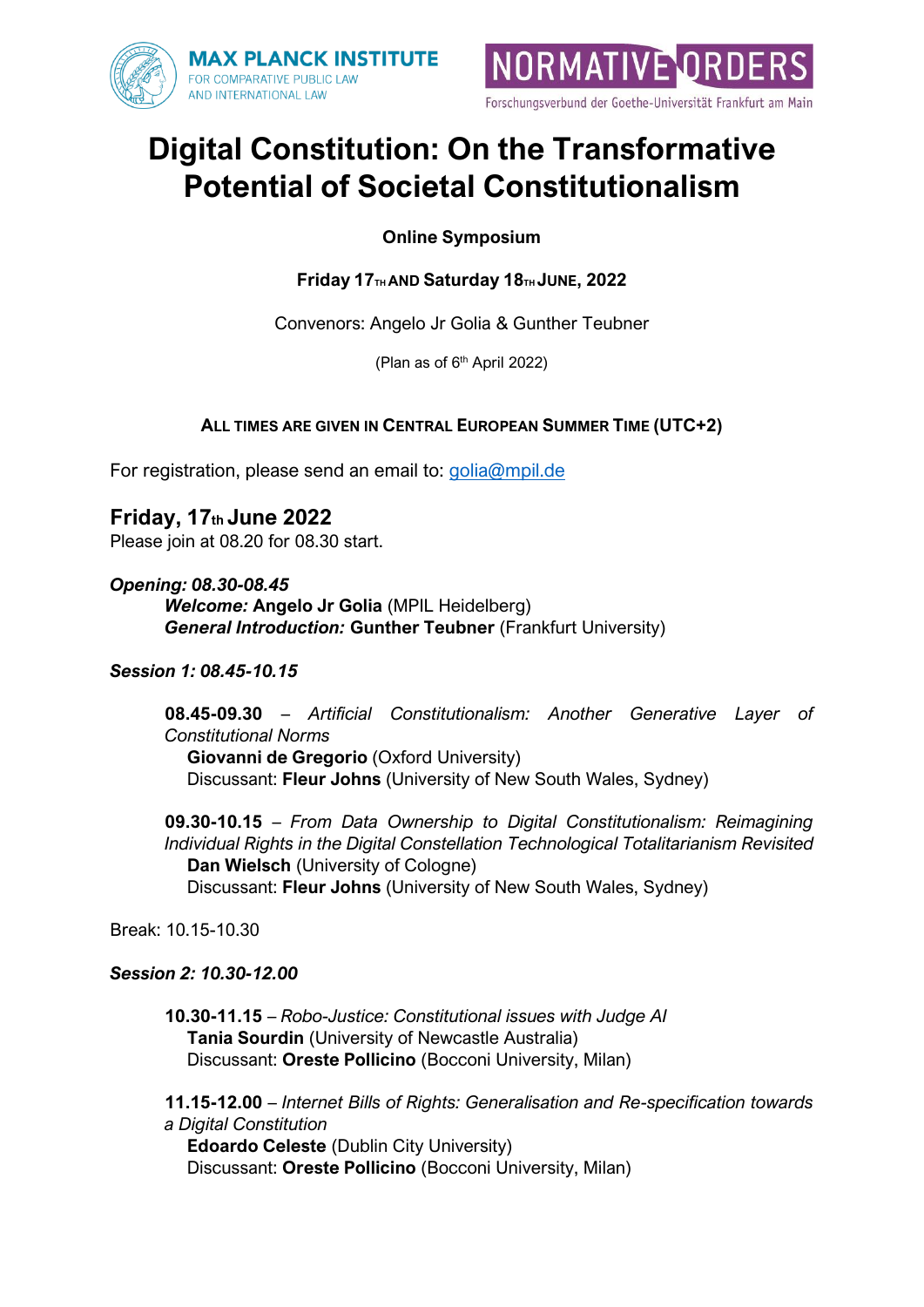



# **Digital Constitution: On the Transformative Potential of Societal Constitutionalism**

**Online Symposium**

**Friday 17TH AND Saturday 18TH JUNE, 2022**

Convenors: Angelo Jr Golia & Gunther Teubner

(Plan as of 6 th April 2022)

## **ALL TIMES ARE GIVEN IN CENTRAL EUROPEAN SUMMER TIME (UTC+2)**

For registration, please send an email to: [golia@mpil.de](mailto:golia@mpil.de)

**Friday, 17th June 2022** Please join at 08.20 for 08.30 start.

*Opening: 08.30-08.45 Welcome:* **Angelo Jr Golia** (MPIL Heidelberg) *General Introduction:* **Gunther Teubner** (Frankfurt University)

### *Session 1: 08.45-10.15*

**08.45-09.30** – *Artificial Constitutionalism: Another Generative Layer of Constitutional Norms*

**Giovanni de Gregorio** (Oxford University) Discussant: **Fleur Johns** (University of New South Wales, Sydney)

**09.30-10.15** – *From Data Ownership to Digital Constitutionalism: Reimagining Individual Rights in the Digital Constellation Technological Totalitarianism Revisited* **Dan Wielsch** (University of Cologne) Discussant: **Fleur Johns** (University of New South Wales, Sydney)

Break: 10.15-10.30

### *Session 2: 10.30-12.00*

**10.30-11.15** – *Robo-Justice: Constitutional issues with Judge AI* **Tania Sourdin** (University of Newcastle Australia) Discussant: **Oreste Pollicino** (Bocconi University, Milan)

**11.15-12.00** – *Internet Bills of Rights: Generalisation and Re-specification towards a Digital Constitution* **Edoardo Celeste** (Dublin City University)

Discussant: **Oreste Pollicino** (Bocconi University, Milan)